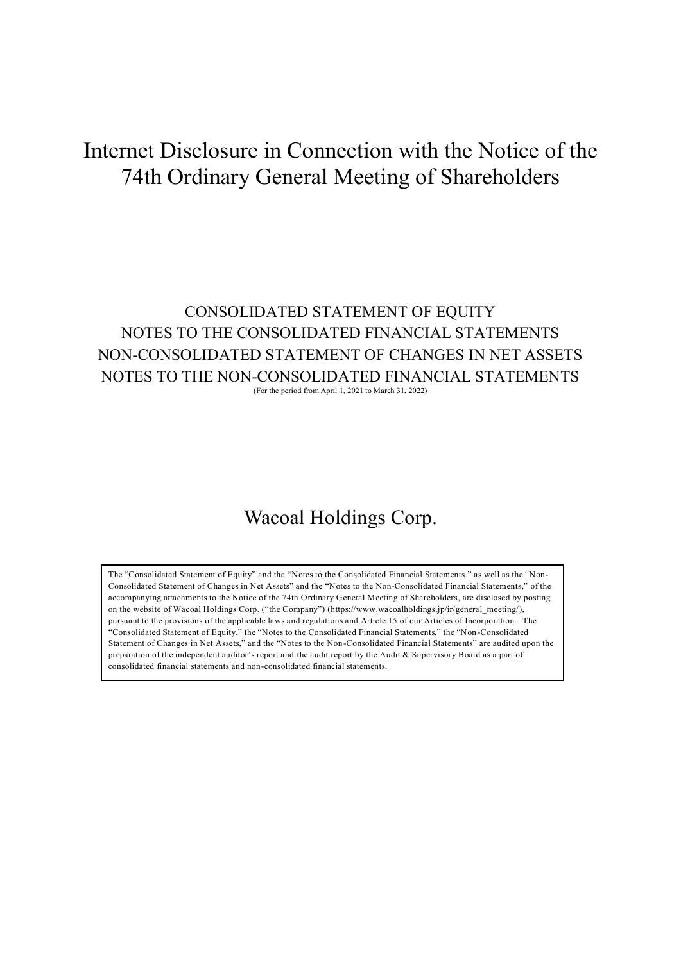# Internet Disclosure in Connection with the Notice of the 74th Ordinary General Meeting of Shareholders

# CONSOLIDATED STATEMENT OF EQUITY NOTES TO THE CONSOLIDATED FINANCIAL STATEMENTS NON-CONSOLIDATED STATEMENT OF CHANGES IN NET ASSETS NOTES TO THE NON-CONSOLIDATED FINANCIAL STATEMENTS (For the period from April 1, 2021 to March 31, 2022)

# Wacoal Holdings Corp.

The "Consolidated Statement of Equity" and the "Notes to the Consolidated Financial Statements," as well as the "Non-Consolidated Statement of Changes in Net Assets" and the "Notes to the Non-Consolidated Financial Statements," of the accompanying attachments to the Notice of the 74th Ordinary General Meeting of Shareholders, are disclosed by posting on the website of Wacoal Holdings Corp. ("the Company") (https://www.wacoalholdings.jp/ir/general\_meeting/), pursuant to the provisions of the applicable laws and regulations and Article 15 of our Articles of Incorporation. The "Consolidated Statement of Equity," the "Notes to the Consolidated Financial Statements," the "Non -Consolidated Statement of Changes in Net Assets," and the "Notes to the Non-Consolidated Financial Statements" are audited upon the preparation of the independent auditor's report and the audit report by the Audit & Supervisory Board as a part of consolidated financial statements and non-consolidated financial statements.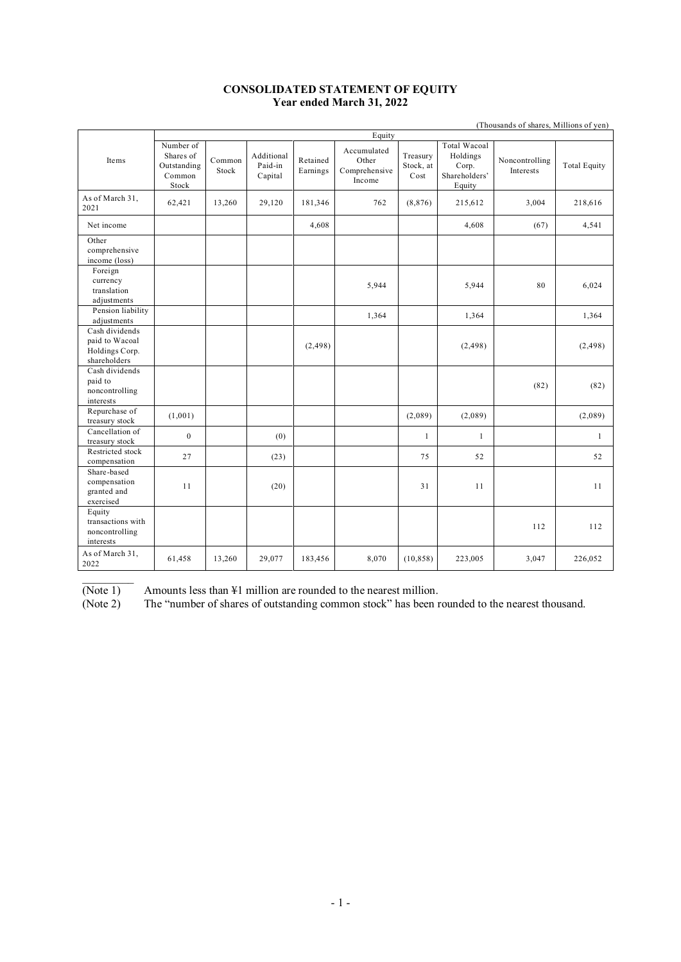#### **CONSOLIDATED STATEMENT OF EQUITY Year ended March 31, 2022**

|                                                                    | (Thousands of shares, Millions of yen)                   |                 |                                  |                      |                                                 |                               |                                                              |                             |                     |
|--------------------------------------------------------------------|----------------------------------------------------------|-----------------|----------------------------------|----------------------|-------------------------------------------------|-------------------------------|--------------------------------------------------------------|-----------------------------|---------------------|
|                                                                    | Equity                                                   |                 |                                  |                      |                                                 |                               |                                                              |                             |                     |
| Items                                                              | Number of<br>Shares of<br>Outstanding<br>Common<br>Stock | Common<br>Stock | Additional<br>Paid-in<br>Capital | Retained<br>Earnings | Accumulated<br>Other<br>Comprehensive<br>Income | Treasury<br>Stock, at<br>Cost | Total Wacoal<br>Holdings<br>Corp.<br>Shareholders'<br>Equity | Noncontrolling<br>Interests | <b>Total Equity</b> |
| As of March 31,<br>2021                                            | 62,421                                                   | 13,260          | 29,120                           | 181,346              | 762                                             | (8, 876)                      | 215,612                                                      | 3,004                       | 218,616             |
| Net income                                                         |                                                          |                 |                                  | 4,608                |                                                 |                               | 4,608                                                        | (67)                        | 4,541               |
| Other<br>comprehensive<br>income (loss)                            |                                                          |                 |                                  |                      |                                                 |                               |                                                              |                             |                     |
| Foreign<br>currency<br>translation<br>adjustments                  |                                                          |                 |                                  |                      | 5,944                                           |                               | 5,944                                                        | 80                          | 6,024               |
| Pension liability<br>adjustments                                   |                                                          |                 |                                  |                      | 1,364                                           |                               | 1,364                                                        |                             | 1,364               |
| Cash dividends<br>paid to Wacoal<br>Holdings Corp.<br>shareholders |                                                          |                 |                                  | (2, 498)             |                                                 |                               | (2, 498)                                                     |                             | (2, 498)            |
| Cash dividends<br>paid to<br>noncontrolling<br>interests           |                                                          |                 |                                  |                      |                                                 |                               |                                                              | (82)                        | (82)                |
| Repurchase of<br>treasury stock                                    | (1,001)                                                  |                 |                                  |                      |                                                 | (2,089)                       | (2,089)                                                      |                             | (2,089)             |
| Cancellation of<br>treasury stock                                  | $\mathbf{0}$                                             |                 | (0)                              |                      |                                                 | $\mathbf{1}$                  | $\mathbf{1}$                                                 |                             | $\mathbf{1}$        |
| Restricted stock<br>compensation                                   | 27                                                       |                 | (23)                             |                      |                                                 | 75                            | 52                                                           |                             | 52                  |
| Share-based<br>compensation<br>granted and<br>exercised            | 11                                                       |                 | (20)                             |                      |                                                 | 31                            | 11                                                           |                             | 11                  |
| Equity<br>transactions with<br>noncontrolling<br>interests         |                                                          |                 |                                  |                      |                                                 |                               |                                                              | 112                         | 112                 |
| As of March 31,<br>2022                                            | 61,458                                                   | 13,260          | 29,077                           | 183,456              | 8,070                                           | (10, 858)                     | 223,005                                                      | 3,047                       | 226,052             |

 $\frac{1}{2}$ 

(Note 1) Amounts less than  $\frac{1}{4}1$  million are rounded to the nearest million.<br>(Note 2) The "number of shares of outstanding common stock" has been r The "number of shares of outstanding common stock" has been rounded to the nearest thousand.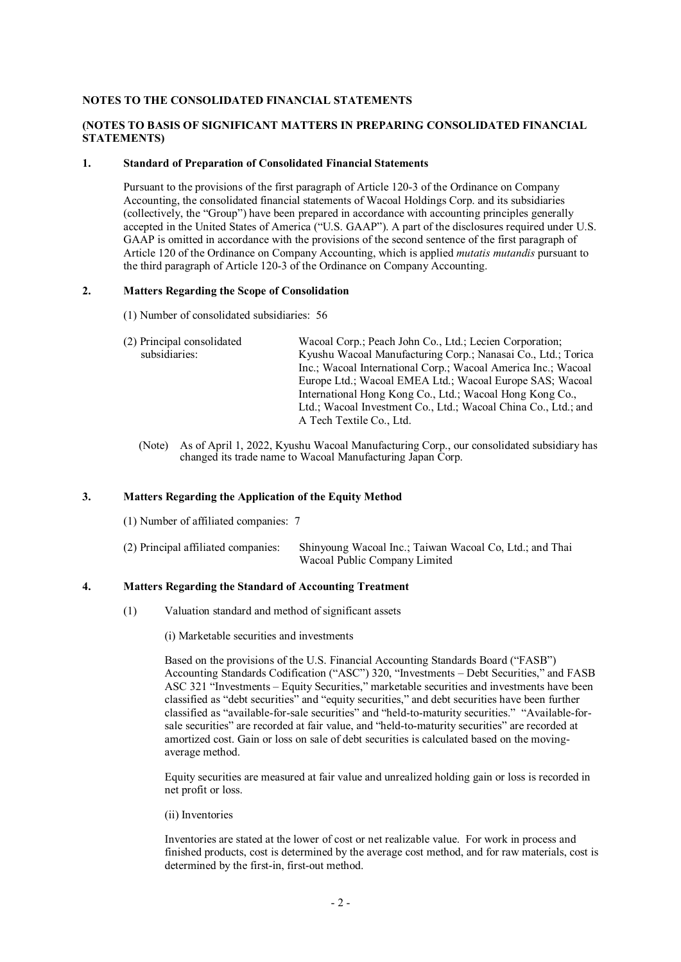#### **NOTES TO THE CONSOLIDATED FINANCIAL STATEMENTS**

#### **(NOTES TO BASIS OF SIGNIFICANT MATTERS IN PREPARING CONSOLIDATED FINANCIAL STATEMENTS)**

#### **1. Standard of Preparation of Consolidated Financial Statements**

Pursuant to the provisions of the first paragraph of Article 120-3 of the Ordinance on Company Accounting, the consolidated financial statements of Wacoal Holdings Corp. and its subsidiaries (collectively, the "Group") have been prepared in accordance with accounting principles generally accepted in the United States of America ("U.S. GAAP"). A part of the disclosures required under U.S. GAAP is omitted in accordance with the provisions of the second sentence of the first paragraph of Article 120 of the Ordinance on Company Accounting, which is applied *mutatis mutandis* pursuant to the third paragraph of Article 120-3 of the Ordinance on Company Accounting.

#### **2. Matters Regarding the Scope of Consolidation**

(1) Number of consolidated subsidiaries: 56

| (2) Principal consolidated | Wacoal Corp.; Peach John Co., Ltd.; Lecien Corporation;        |
|----------------------------|----------------------------------------------------------------|
| subsidiaries:              | Kyushu Wacoal Manufacturing Corp.; Nanasai Co., Ltd.; Torica   |
|                            | Inc.; Wacoal International Corp.; Wacoal America Inc.; Wacoal  |
|                            | Europe Ltd.; Wacoal EMEA Ltd.; Wacoal Europe SAS; Wacoal       |
|                            | International Hong Kong Co., Ltd.; Wacoal Hong Kong Co.,       |
|                            | Ltd.; Wacoal Investment Co., Ltd.; Wacoal China Co., Ltd.; and |
|                            | A Tech Textile Co., Ltd.                                       |

(Note) As of April 1, 2022, Kyushu Wacoal Manufacturing Corp., our consolidated subsidiary has changed its trade name to Wacoal Manufacturing Japan Corp.

#### **3. Matters Regarding the Application of the Equity Method**

(1) Number of affiliated companies: 7

| (2) Principal affiliated companies: | Shinyoung Wacoal Inc.; Taiwan Wacoal Co, Ltd.; and Thai |
|-------------------------------------|---------------------------------------------------------|
|                                     | Wacoal Public Company Limited                           |

#### **4. Matters Regarding the Standard of Accounting Treatment**

(1) Valuation standard and method of significant assets

(i) Marketable securities and investments

Based on the provisions of the U.S. Financial Accounting Standards Board ("FASB") Accounting Standards Codification ("ASC") 320, "Investments – Debt Securities," and FASB ASC 321 "Investments – Equity Securities," marketable securities and investments have been classified as "debt securities" and "equity securities," and debt securities have been further classified as "available-for-sale securities" and "held-to-maturity securities." "Available-forsale securities" are recorded at fair value, and "held-to-maturity securities" are recorded at amortized cost. Gain or loss on sale of debt securities is calculated based on the movingaverage method.

Equity securities are measured at fair value and unrealized holding gain or loss is recorded in net profit or loss.

(ii) Inventories

Inventories are stated at the lower of cost or net realizable value. For work in process and finished products, cost is determined by the average cost method, and for raw materials, cost is determined by the first-in, first-out method.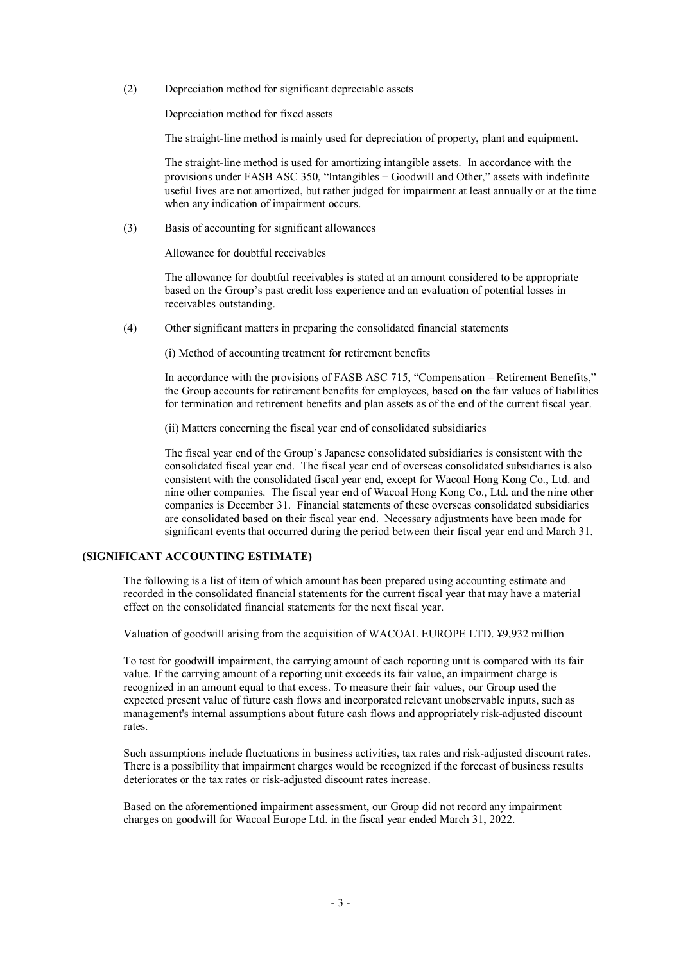(2) Depreciation method for significant depreciable assets

Depreciation method for fixed assets

The straight-line method is mainly used for depreciation of property, plant and equipment.

The straight-line method is used for amortizing intangible assets. In accordance with the provisions under FASB ASC 350, "Intangibles — Goodwill and Other," assets with indefinite useful lives are not amortized, but rather judged for impairment at least annually or at the time when any indication of impairment occurs.

(3) Basis of accounting for significant allowances

Allowance for doubtful receivables

The allowance for doubtful receivables is stated at an amount considered to be appropriate based on the Group's past credit loss experience and an evaluation of potential losses in receivables outstanding.

(4) Other significant matters in preparing the consolidated financial statements

(i) Method of accounting treatment for retirement benefits

In accordance with the provisions of FASB ASC 715, "Compensation – Retirement Benefits," the Group accounts for retirement benefits for employees, based on the fair values of liabilities for termination and retirement benefits and plan assets as of the end of the current fiscal year.

(ii) Matters concerning the fiscal year end of consolidated subsidiaries

The fiscal year end of the Group's Japanese consolidated subsidiaries is consistent with the consolidated fiscal year end. The fiscal year end of overseas consolidated subsidiaries is also consistent with the consolidated fiscal year end, except for Wacoal Hong Kong Co., Ltd. and nine other companies. The fiscal year end of Wacoal Hong Kong Co., Ltd. and the nine other companies is December 31. Financial statements of these overseas consolidated subsidiaries are consolidated based on their fiscal year end. Necessary adjustments have been made for significant events that occurred during the period between their fiscal year end and March 31.

# **(SIGNIFICANT ACCOUNTING ESTIMATE)**

The following is a list of item of which amount has been prepared using accounting estimate and recorded in the consolidated financial statements for the current fiscal year that may have a material effect on the consolidated financial statements for the next fiscal year.

Valuation of goodwill arising from the acquisition of WACOAL EUROPE LTD. ¥9,932 million

To test for goodwill impairment, the carrying amount of each reporting unit is compared with its fair value. If the carrying amount of a reporting unit exceeds its fair value, an impairment charge is recognized in an amount equal to that excess. To measure their fair values, our Group used the expected present value of future cash flows and incorporated relevant unobservable inputs, such as management's internal assumptions about future cash flows and appropriately risk-adjusted discount rates.

Such assumptions include fluctuations in business activities, tax rates and risk-adjusted discount rates. There is a possibility that impairment charges would be recognized if the forecast of business results deteriorates or the tax rates or risk-adjusted discount rates increase.

Based on the aforementioned impairment assessment, our Group did not record any impairment charges on goodwill for Wacoal Europe Ltd. in the fiscal year ended March 31, 2022.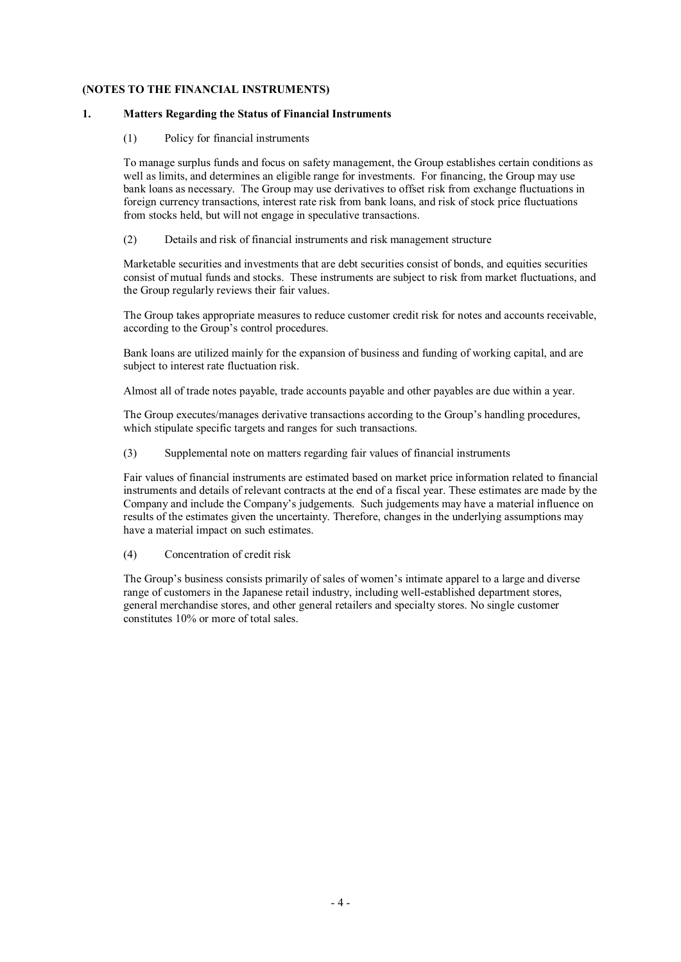### **(NOTES TO THE FINANCIAL INSTRUMENTS)**

#### **1. Matters Regarding the Status of Financial Instruments**

#### (1) Policy for financial instruments

To manage surplus funds and focus on safety management, the Group establishes certain conditions as well as limits, and determines an eligible range for investments. For financing, the Group may use bank loans as necessary. The Group may use derivatives to offset risk from exchange fluctuations in foreign currency transactions, interest rate risk from bank loans, and risk of stock price fluctuations from stocks held, but will not engage in speculative transactions.

#### (2) Details and risk of financial instruments and risk management structure

Marketable securities and investments that are debt securities consist of bonds, and equities securities consist of mutual funds and stocks. These instruments are subject to risk from market fluctuations, and the Group regularly reviews their fair values.

The Group takes appropriate measures to reduce customer credit risk for notes and accounts receivable, according to the Group's control procedures.

Bank loans are utilized mainly for the expansion of business and funding of working capital, and are subject to interest rate fluctuation risk.

Almost all of trade notes payable, trade accounts payable and other payables are due within a year.

The Group executes/manages derivative transactions according to the Group's handling procedures, which stipulate specific targets and ranges for such transactions.

(3) Supplemental note on matters regarding fair values of financial instruments

Fair values of financial instruments are estimated based on market price information related to financial instruments and details of relevant contracts at the end of a fiscal year. These estimates are made by the Company and include the Company's judgements. Such judgements may have a material influence on results of the estimates given the uncertainty. Therefore, changes in the underlying assumptions may have a material impact on such estimates.

(4) Concentration of credit risk

The Group's business consists primarily of sales of women's intimate apparel to a large and diverse range of customers in the Japanese retail industry, including well-established department stores, general merchandise stores, and other general retailers and specialty stores. No single customer constitutes 10% or more of total sales.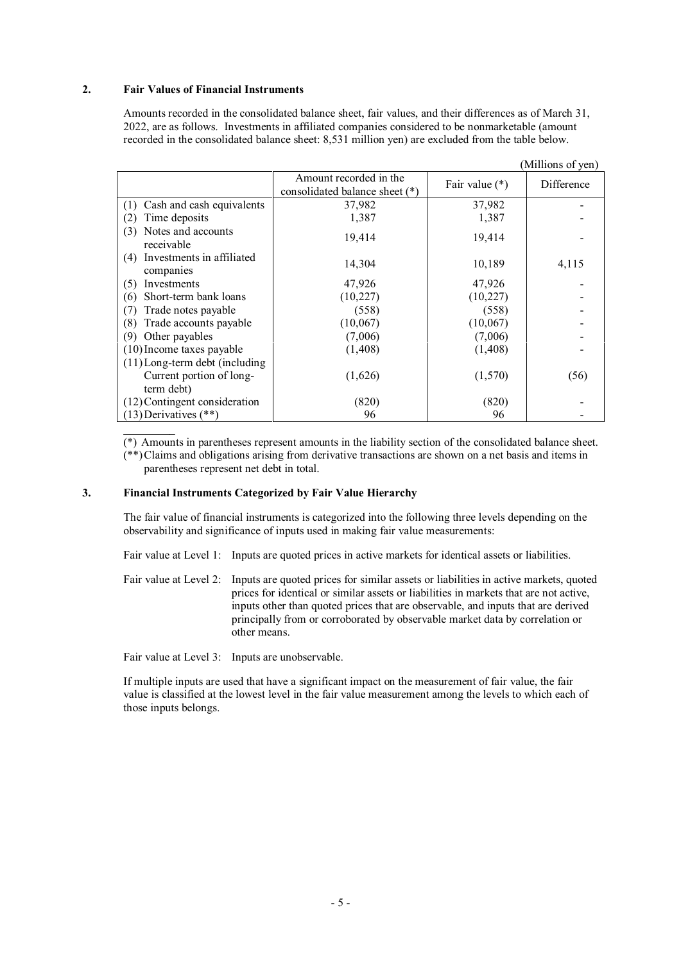#### **2. Fair Values of Financial Instruments**

Amounts recorded in the consolidated balance sheet, fair values, and their differences as of March 31, 2022, are as follows. Investments in affiliated companies considered to be nonmarketable (amount recorded in the consolidated balance sheet: 8,531 million yen) are excluded from the table below.

|                                               |                                                          |                  | (Millions of yen) |
|-----------------------------------------------|----------------------------------------------------------|------------------|-------------------|
|                                               | Amount recorded in the<br>consolidated balance sheet (*) | Fair value $(*)$ | Difference        |
| Cash and cash equivalents<br>(T               | 37,982                                                   | 37,982           |                   |
| Time deposits                                 | 1,387                                                    | 1,387            |                   |
| Notes and accounts<br>(3)<br>receivable       | 19,414                                                   | 19,414           |                   |
| Investments in affiliated<br>(4)<br>companies | 14,304                                                   | 10,189           | 4,115             |
| Investments<br>(5)                            | 47,926                                                   | 47,926           |                   |
| Short-term bank loans<br>(6)                  | (10, 227)                                                | (10, 227)        |                   |
| Trade notes payable                           | (558)                                                    | (558)            |                   |
| Trade accounts payable<br>(8)                 | (10,067)                                                 | (10,067)         |                   |
| Other payables<br>(9`                         | (7,006)                                                  | (7,006)          |                   |
| $(10)$ Income taxes payable                   | (1, 408)                                                 | (1,408)          |                   |
| $(11)$ Long-term debt (including              |                                                          |                  |                   |
| Current portion of long-                      | (1,626)                                                  | (1,570)          | (56)              |
| term debt)                                    |                                                          |                  |                   |
| (12) Contingent consideration                 | (820)                                                    | (820)            |                   |
| $(13)$ Derivatives $(**)$                     | 96                                                       | 96               |                   |

(\*) Amounts in parentheses represent amounts in the liability section of the consolidated balance sheet.

(\*\*)Claims and obligations arising from derivative transactions are shown on a net basis and items in parentheses represent net debt in total.

# **3. Financial Instruments Categorized by Fair Value Hierarchy**

The fair value of financial instruments is categorized into the following three levels depending on the observability and significance of inputs used in making fair value measurements:

Fair value at Level 1: Inputs are quoted prices in active markets for identical assets or liabilities.

Fair value at Level 2: Inputs are quoted prices for similar assets or liabilities in active markets, quoted prices for identical or similar assets or liabilities in markets that are not active, inputs other than quoted prices that are observable, and inputs that are derived principally from or corroborated by observable market data by correlation or other means.

Fair value at Level 3: Inputs are unobservable.

If multiple inputs are used that have a significant impact on the measurement of fair value, the fair value is classified at the lowest level in the fair value measurement among the levels to which each of those inputs belongs.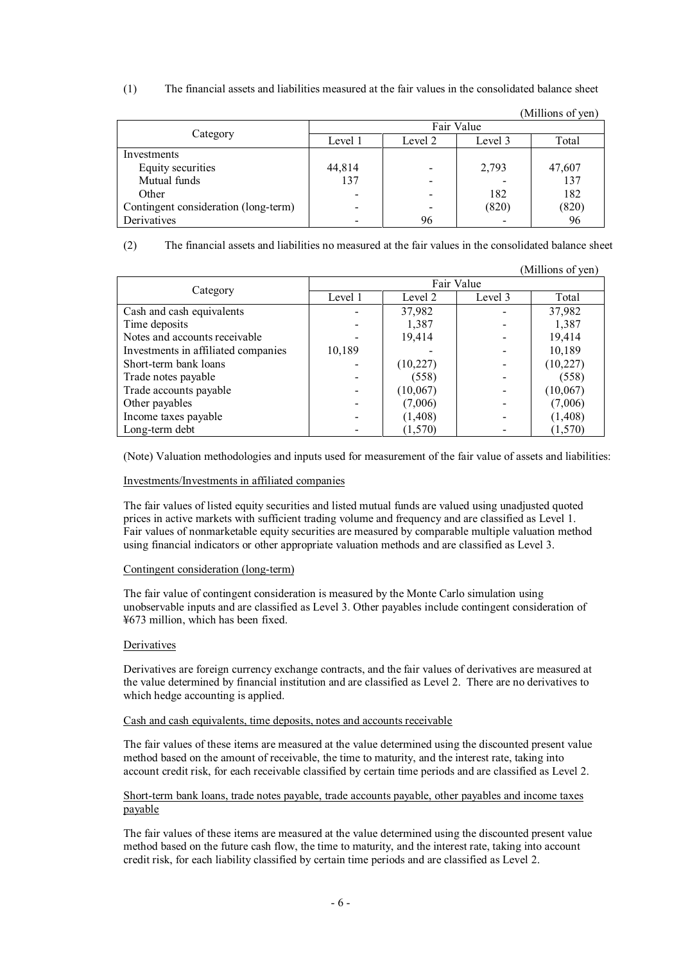(1) The financial assets and liabilities measured at the fair values in the consolidated balance sheet

|                                      |                          |         |         | (Millions of yen) |  |  |
|--------------------------------------|--------------------------|---------|---------|-------------------|--|--|
|                                      | Fair Value               |         |         |                   |  |  |
| Category                             | Level 1                  | Level 2 | Level 3 | Total             |  |  |
| Investments                          |                          |         |         |                   |  |  |
| Equity securities                    | 44,814                   |         | 2,793   | 47,607            |  |  |
| Mutual funds                         | 137                      |         |         | 137               |  |  |
| Other                                | -                        |         | 182     | 182               |  |  |
| Contingent consideration (long-term) | $\overline{\phantom{0}}$ |         | (820)   | (820)             |  |  |
| Derivatives                          |                          | 96      |         | 96                |  |  |

(2) The financial assets and liabilities no measured at the fair values in the consolidated balance sheet

|                                     |            |           |         | (Millions of yen) |  |  |
|-------------------------------------|------------|-----------|---------|-------------------|--|--|
|                                     | Fair Value |           |         |                   |  |  |
| Category                            | Level 1    | Level 2   | Level 3 | Total             |  |  |
| Cash and cash equivalents           |            | 37,982    |         | 37,982            |  |  |
| Time deposits                       |            | 1,387     |         | 1,387             |  |  |
| Notes and accounts receivable       |            | 19,414    |         | 19,414            |  |  |
| Investments in affiliated companies | 10,189     |           |         | 10,189            |  |  |
| Short-term bank loans               |            | (10, 227) |         | (10, 227)         |  |  |
| Trade notes payable                 |            | (558)     |         | (558)             |  |  |
| Trade accounts payable              |            | (10,067)  |         | (10,067)          |  |  |
| Other payables                      |            | (7,006)   |         | (7,006)           |  |  |
| Income taxes payable                |            | (1, 408)  |         | (1, 408)          |  |  |
| Long-term debt                      |            | (1,570)   |         | (1,570)           |  |  |

(Note) Valuation methodologies and inputs used for measurement of the fair value of assets and liabilities:

#### Investments/Investments in affiliated companies

The fair values of listed equity securities and listed mutual funds are valued using unadjusted quoted prices in active markets with sufficient trading volume and frequency and are classified as Level 1. Fair values of nonmarketable equity securities are measured by comparable multiple valuation method using financial indicators or other appropriate valuation methods and are classified as Level 3.

#### Contingent consideration (long-term)

The fair value of contingent consideration is measured by the Monte Carlo simulation using unobservable inputs and are classified as Level 3. Other payables include contingent consideration of ¥673 million, which has been fixed.

#### Derivatives

Derivatives are foreign currency exchange contracts, and the fair values of derivatives are measured at the value determined by financial institution and are classified as Level 2. There are no derivatives to which hedge accounting is applied.

#### Cash and cash equivalents, time deposits, notes and accounts receivable

The fair values of these items are measured at the value determined using the discounted present value method based on the amount of receivable, the time to maturity, and the interest rate, taking into account credit risk, for each receivable classified by certain time periods and are classified as Level 2.

#### Short-term bank loans, trade notes payable, trade accounts payable, other payables and income taxes payable

The fair values of these items are measured at the value determined using the discounted present value method based on the future cash flow, the time to maturity, and the interest rate, taking into account credit risk, for each liability classified by certain time periods and are classified as Level 2.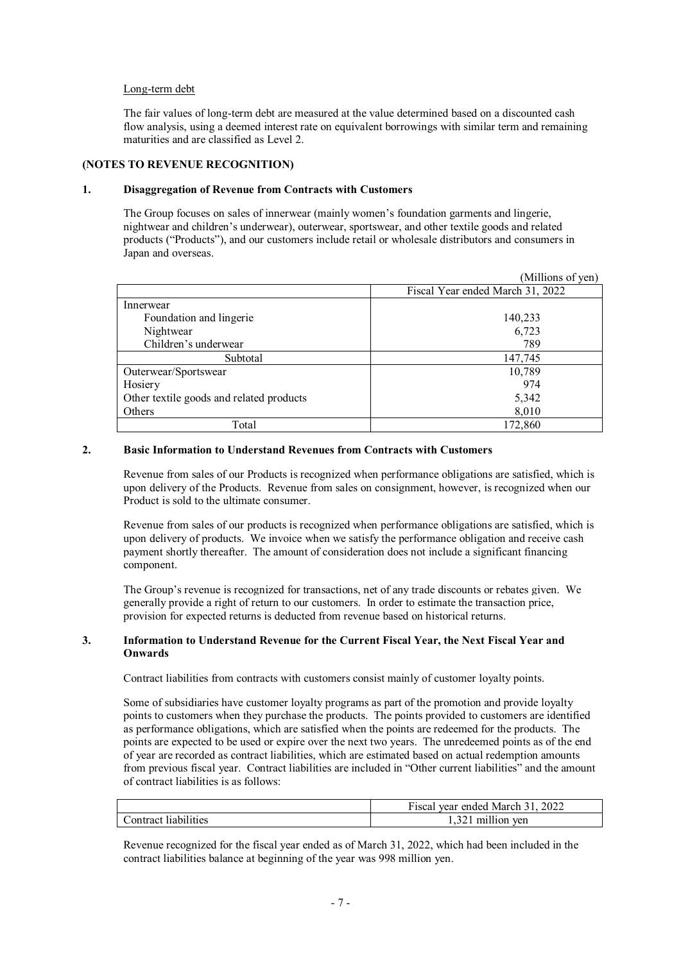#### Long-term debt

The fair values of long-term debt are measured at the value determined based on a discounted cash flow analysis, using a deemed interest rate on equivalent borrowings with similar term and remaining maturities and are classified as Level 2.

### **(NOTES TO REVENUE RECOGNITION)**

#### **1. Disaggregation of Revenue from Contracts with Customers**

The Group focuses on sales of innerwear (mainly women's foundation garments and lingerie, nightwear and children's underwear), outerwear, sportswear, and other textile goods and related products ("Products"), and our customers include retail or wholesale distributors and consumers in Japan and overseas.

|                                          | (Millions of yen)                |
|------------------------------------------|----------------------------------|
|                                          | Fiscal Year ended March 31, 2022 |
| Innerwear                                |                                  |
| Foundation and lingerie                  | 140,233                          |
| Nightwear                                | 6,723                            |
| Children's underwear                     | 789                              |
| Subtotal                                 | 147,745                          |
| Outerwear/Sportswear                     | 10,789                           |
| Hosiery                                  | 974                              |
| Other textile goods and related products | 5,342                            |
| Others                                   | 8,010                            |
| Total                                    | 172,860                          |

### **2. Basic Information to Understand Revenues from Contracts with Customers**

Revenue from sales of our Products is recognized when performance obligations are satisfied, which is upon delivery of the Products. Revenue from sales on consignment, however, is recognized when our Product is sold to the ultimate consumer.

Revenue from sales of our products is recognized when performance obligations are satisfied, which is upon delivery of products. We invoice when we satisfy the performance obligation and receive cash payment shortly thereafter. The amount of consideration does not include a significant financing component.

The Group's revenue is recognized for transactions, net of any trade discounts or rebates given. We generally provide a right of return to our customers. In order to estimate the transaction price, provision for expected returns is deducted from revenue based on historical returns.

#### **3. Information to Understand Revenue for the Current Fiscal Year, the Next Fiscal Year and Onwards**

Contract liabilities from contracts with customers consist mainly of customer loyalty points.

Some of subsidiaries have customer loyalty programs as part of the promotion and provide loyalty points to customers when they purchase the products. The points provided to customers are identified as performance obligations, which are satisfied when the points are redeemed for the products. The points are expected to be used or expire over the next two years. The unredeemed points as of the end of year are recorded as contract liabilities, which are estimated based on actual redemption amounts from previous fiscal year. Contract liabilities are included in "Other current liabilities" and the amount of contract liabilities is as follows:

|                               | $\overline{\phantom{a}}$<br>2022<br>vear ended<br>F iscal<br>March |
|-------------------------------|--------------------------------------------------------------------|
| .  .<br>labilities<br>ontract | <br>ven<br>mı<br>110n                                              |

Revenue recognized for the fiscal year ended as of March 31, 2022, which had been included in the contract liabilities balance at beginning of the year was 998 million yen.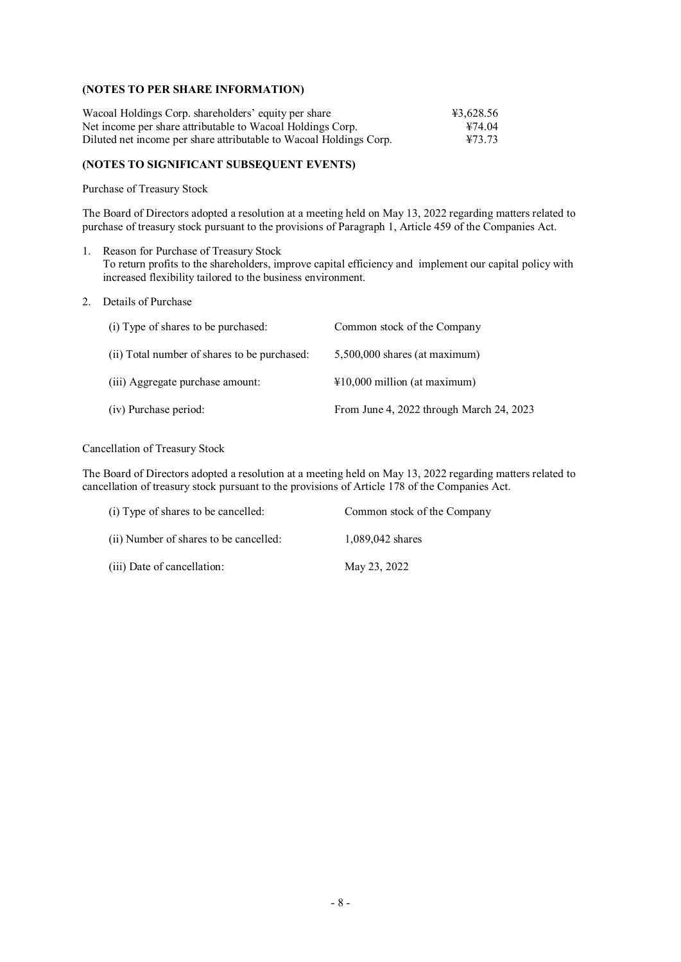#### **(NOTES TO PER SHARE INFORMATION)**

| Wacoal Holdings Corp. shareholders' equity per share               | ¥3,628.56 |
|--------------------------------------------------------------------|-----------|
| Net income per share attributable to Wacoal Holdings Corp.         | ¥74.04    |
| Diluted net income per share attributable to Wacoal Holdings Corp. | ¥73.73    |

### **(NOTES TO SIGNIFICANT SUBSEQUENT EVENTS)**

Purchase of Treasury Stock

The Board of Directors adopted a resolution at a meeting held on May 13, 2022 regarding matters related to purchase of treasury stock pursuant to the provisions of Paragraph 1, Article 459 of the Companies Act.

- 1. Reason for Purchase of Treasury Stock To return profits to the shareholders, improve capital efficiency and implement our capital policy with increased flexibility tailored to the business environment.
- 2. Details of Purchase

| (i) Type of shares to be purchased:          | Common stock of the Company              |
|----------------------------------------------|------------------------------------------|
| (ii) Total number of shares to be purchased: | $5,500,000$ shares (at maximum)          |
| (iii) Aggregate purchase amount:             | $\text{\#10,000}$ million (at maximum)   |
| (iv) Purchase period:                        | From June 4, 2022 through March 24, 2023 |

Cancellation of Treasury Stock

The Board of Directors adopted a resolution at a meeting held on May 13, 2022 regarding matters related to cancellation of treasury stock pursuant to the provisions of Article 178 of the Companies Act.

| (i) Type of shares to be cancelled:    | Common stock of the Company |
|----------------------------------------|-----------------------------|
| (ii) Number of shares to be cancelled: | 1,089,042 shares            |
| (iii) Date of cancellation:            | May 23, 2022                |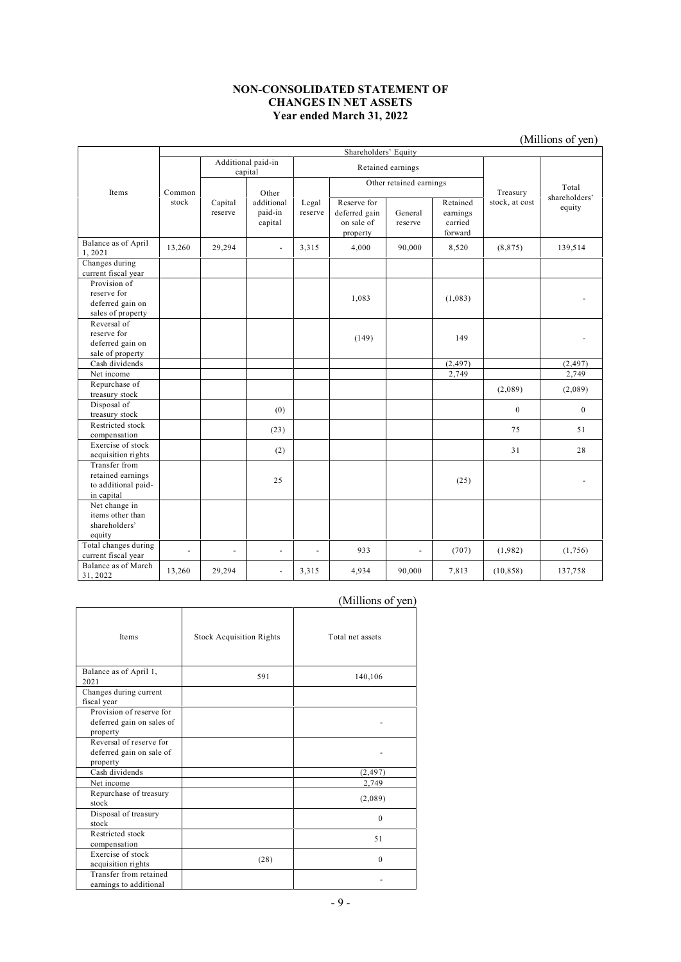#### **NON-CONSOLIDATED STATEMENT OF CHANGES IN NET ASSETS Year ended March 31, 2022**

|                                                                         |        |                               |                                  |                  |                                                        |                    |                                            |                | (Millions of yen)       |
|-------------------------------------------------------------------------|--------|-------------------------------|----------------------------------|------------------|--------------------------------------------------------|--------------------|--------------------------------------------|----------------|-------------------------|
|                                                                         |        |                               |                                  |                  | Shareholders' Equity                                   |                    |                                            |                |                         |
|                                                                         |        | Additional paid-in<br>capital |                                  |                  | Retained earnings                                      |                    |                                            |                |                         |
| Items                                                                   | Common | Other                         |                                  |                  | Other retained earnings                                |                    |                                            | Treasury       | Total                   |
|                                                                         | stock  | Capital<br>reserve            | additional<br>paid-in<br>capital | Legal<br>reserve | Reserve for<br>deferred gain<br>on sale of<br>property | General<br>reserve | Retained<br>earnings<br>carried<br>forward | stock, at cost | shareholders'<br>equity |
| Balance as of April<br>1,2021                                           | 13,260 | 29,294                        | $\blacksquare$                   | 3,315            | 4,000                                                  | 90,000             | 8,520                                      | (8, 875)       | 139,514                 |
| Changes during<br>current fiscal year                                   |        |                               |                                  |                  |                                                        |                    |                                            |                |                         |
| Provision of<br>reserve for<br>deferred gain on<br>sales of property    |        |                               |                                  |                  | 1,083                                                  |                    | (1,083)                                    |                |                         |
| Reversal of<br>reserve for<br>deferred gain on<br>sale of property      |        |                               |                                  |                  | (149)                                                  |                    | 149                                        |                |                         |
| Cash dividends                                                          |        |                               |                                  |                  |                                                        |                    | (2, 497)                                   |                | (2, 497)                |
| Net income                                                              |        |                               |                                  |                  |                                                        |                    | 2,749                                      |                | 2,749                   |
| Repurchase of<br>treasury stock                                         |        |                               |                                  |                  |                                                        |                    |                                            | (2,089)        | (2,089)                 |
| Disposal of<br>treasury stock                                           |        |                               | (0)                              |                  |                                                        |                    |                                            | $\mathbf{0}$   | $\mathbf{0}$            |
| Restricted stock<br>compensation                                        |        |                               | (23)                             |                  |                                                        |                    |                                            | 75             | 51                      |
| Exercise of stock<br>acquisition rights                                 |        |                               | (2)                              |                  |                                                        |                    |                                            | 31             | 28                      |
| Transfer from<br>retained earnings<br>to additional paid-<br>in capital |        |                               | 25                               |                  |                                                        |                    | (25)                                       |                |                         |
| Net change in<br>items other than<br>shareholders'<br>equity            |        |                               |                                  |                  |                                                        |                    |                                            |                |                         |
| Total changes during<br>current fiscal year                             | ÷,     | ÷,                            | $\blacksquare$                   | ä,               | 933                                                    |                    | (707)                                      | (1,982)        | (1,756)                 |
| Balance as of March<br>31, 2022                                         | 13,260 | 29,294                        | ä,                               | 3,315            | 4,934                                                  | 90,000             | 7,813                                      | (10, 858)      | 137,758                 |

# (Millions of yen)

| Items                                                             | <b>Stock Acquisition Rights</b> | Total net assets |
|-------------------------------------------------------------------|---------------------------------|------------------|
| Balance as of April 1,<br>2021                                    | 591                             | 140,106          |
| Changes during current<br>fiscal year                             |                                 |                  |
| Provision of reserve for<br>deferred gain on sales of<br>property |                                 |                  |
| Reversal of reserve for<br>deferred gain on sale of<br>property   |                                 |                  |
| Cash dividends                                                    |                                 | (2, 497)         |
| Net income                                                        |                                 | 2,749            |
| Repurchase of treasury<br>stock                                   |                                 | (2,089)          |
| Disposal of treasury<br>stock                                     |                                 | $\theta$         |
| Restricted stock<br>compensation                                  |                                 | 51               |
| Exercise of stock<br>acquisition rights                           | (28)                            | $\theta$         |
| Transfer from retained<br>earnings to additional                  |                                 |                  |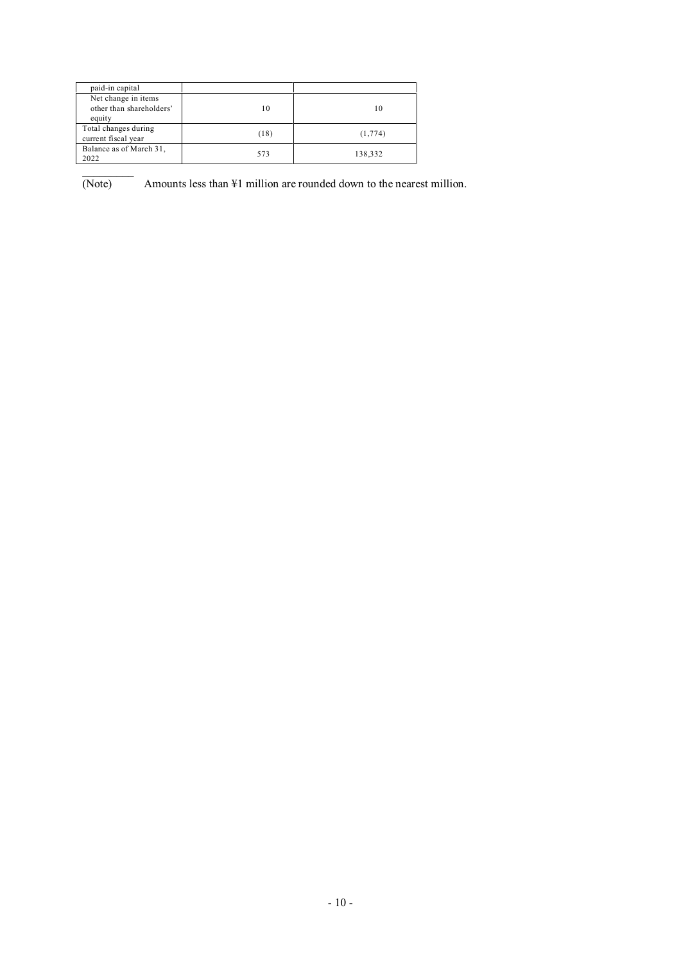| paid-in capital                                           |      |          |
|-----------------------------------------------------------|------|----------|
| Net change in items<br>other than shareholders'<br>equity | 10   | 10       |
| Total changes during<br>current fiscal year               | (18) | (1, 774) |
| Balance as of March 31,<br>2022                           | 573  | 138,332  |

 $\overline{\text{(Note)}}$  $-$  Amounts less than ¥1 million are rounded down to the nearest million.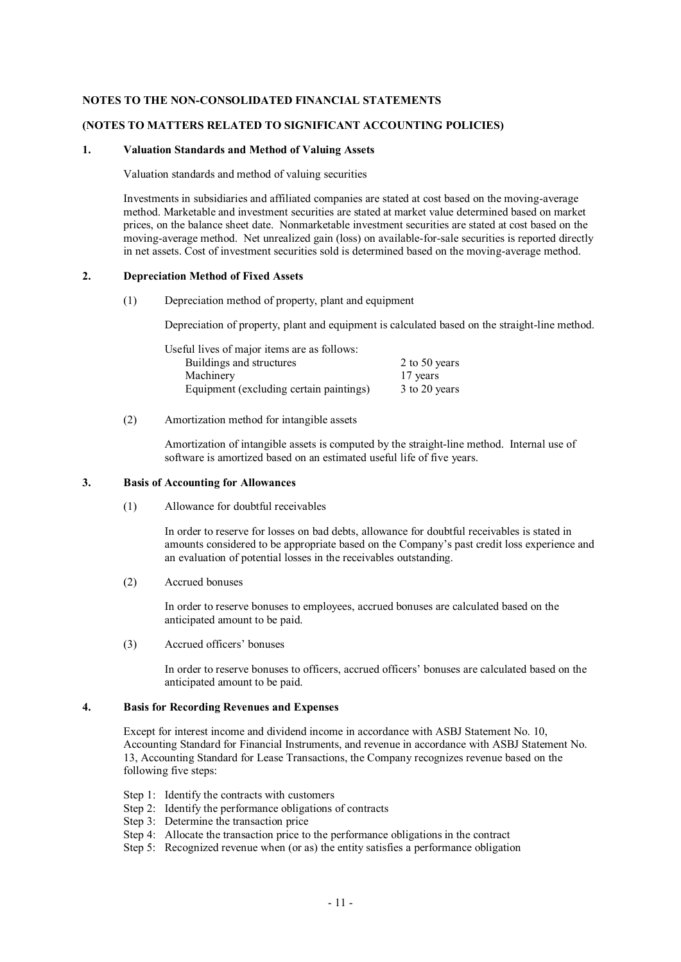#### **NOTES TO THE NON-CONSOLIDATED FINANCIAL STATEMENTS**

#### **(NOTES TO MATTERS RELATED TO SIGNIFICANT ACCOUNTING POLICIES)**

#### **1. Valuation Standards and Method of Valuing Assets**

Valuation standards and method of valuing securities

Investments in subsidiaries and affiliated companies are stated at cost based on the moving-average method. Marketable and investment securities are stated at market value determined based on market prices, on the balance sheet date. Nonmarketable investment securities are stated at cost based on the moving-average method. Net unrealized gain (loss) on available-for-sale securities is reported directly in net assets. Cost of investment securities sold is determined based on the moving-average method.

#### **2. Depreciation Method of Fixed Assets**

(1) Depreciation method of property, plant and equipment

Depreciation of property, plant and equipment is calculated based on the straight-line method.

| Useful lives of major items are as follows: |               |
|---------------------------------------------|---------------|
| Buildings and structures                    | 2 to 50 years |
| Machinery                                   | 17 years      |
| Equipment (excluding certain paintings)     | 3 to 20 years |

(2) Amortization method for intangible assets

Amortization of intangible assets is computed by the straight-line method. Internal use of software is amortized based on an estimated useful life of five years.

# **3. Basis of Accounting for Allowances**

(1) Allowance for doubtful receivables

In order to reserve for losses on bad debts, allowance for doubtful receivables is stated in amounts considered to be appropriate based on the Company's past credit loss experience and an evaluation of potential losses in the receivables outstanding.

(2) Accrued bonuses

In order to reserve bonuses to employees, accrued bonuses are calculated based on the anticipated amount to be paid.

(3) Accrued officers' bonuses

In order to reserve bonuses to officers, accrued officers' bonuses are calculated based on the anticipated amount to be paid.

# **4. Basis for Recording Revenues and Expenses**

Except for interest income and dividend income in accordance with ASBJ Statement No. 10, Accounting Standard for Financial Instruments, and revenue in accordance with ASBJ Statement No. 13, Accounting Standard for Lease Transactions, the Company recognizes revenue based on the following five steps:

- Step 1: Identify the contracts with customers
- Step 2: Identify the performance obligations of contracts
- Step 3: Determine the transaction price
- Step 4: Allocate the transaction price to the performance obligations in the contract
- Step 5: Recognized revenue when (or as) the entity satisfies a performance obligation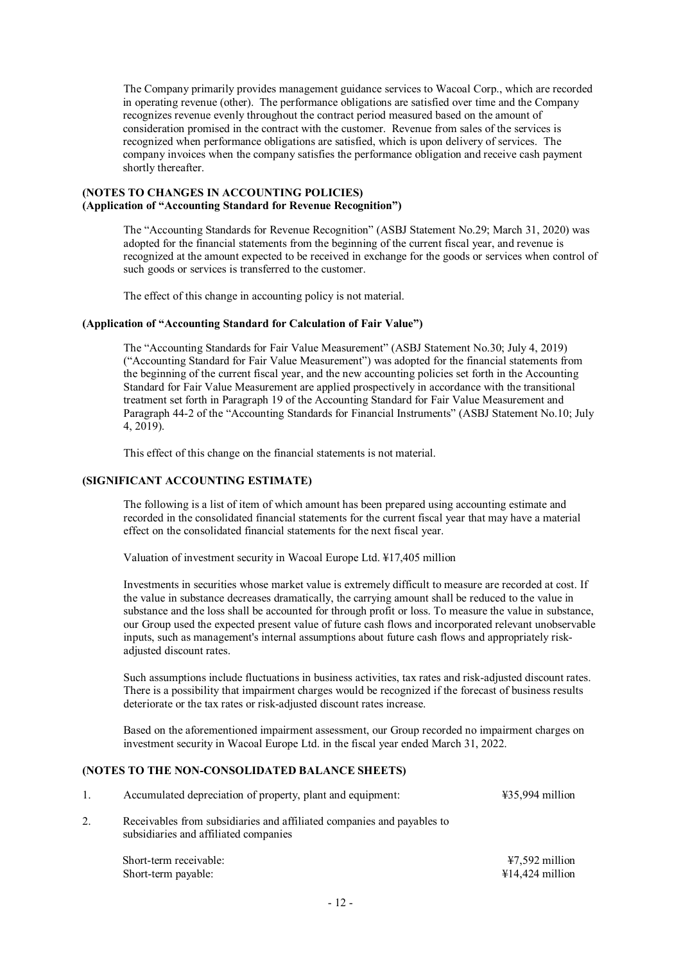The Company primarily provides management guidance services to Wacoal Corp., which are recorded in operating revenue (other). The performance obligations are satisfied over time and the Company recognizes revenue evenly throughout the contract period measured based on the amount of consideration promised in the contract with the customer. Revenue from sales of the services is recognized when performance obligations are satisfied, which is upon delivery of services. The company invoices when the company satisfies the performance obligation and receive cash payment shortly thereafter.

## **(NOTES TO CHANGES IN ACCOUNTING POLICIES) (Application of "Accounting Standard for Revenue Recognition")**

The "Accounting Standards for Revenue Recognition" (ASBJ Statement No.29; March 31, 2020) was adopted for the financial statements from the beginning of the current fiscal year, and revenue is recognized at the amount expected to be received in exchange for the goods or services when control of such goods or services is transferred to the customer.

The effect of this change in accounting policy is not material.

#### **(Application of "Accounting Standard for Calculation of Fair Value")**

The "Accounting Standards for Fair Value Measurement" (ASBJ Statement No.30; July 4, 2019) ("Accounting Standard for Fair Value Measurement") was adopted for the financial statements from the beginning of the current fiscal year, and the new accounting policies set forth in the Accounting Standard for Fair Value Measurement are applied prospectively in accordance with the transitional treatment set forth in Paragraph 19 of the Accounting Standard for Fair Value Measurement and Paragraph 44-2 of the "Accounting Standards for Financial Instruments" (ASBJ Statement No.10; July 4, 2019).

This effect of this change on the financial statements is not material.

#### **(SIGNIFICANT ACCOUNTING ESTIMATE)**

The following is a list of item of which amount has been prepared using accounting estimate and recorded in the consolidated financial statements for the current fiscal year that may have a material effect on the consolidated financial statements for the next fiscal year.

Valuation of investment security in Wacoal Europe Ltd. ¥17,405 million

Investments in securities whose market value is extremely difficult to measure are recorded at cost. If the value in substance decreases dramatically, the carrying amount shall be reduced to the value in substance and the loss shall be accounted for through profit or loss. To measure the value in substance, our Group used the expected present value of future cash flows and incorporated relevant unobservable inputs, such as management's internal assumptions about future cash flows and appropriately riskadjusted discount rates.

Such assumptions include fluctuations in business activities, tax rates and risk-adjusted discount rates. There is a possibility that impairment charges would be recognized if the forecast of business results deteriorate or the tax rates or risk-adjusted discount rates increase.

Based on the aforementioned impairment assessment, our Group recorded no impairment charges on investment security in Wacoal Europe Ltd. in the fiscal year ended March 31, 2022.

### **(NOTES TO THE NON-CONSOLIDATED BALANCE SHEETS)**

|    | Accumulated depreciation of property, plant and equipment:                                                      | $435,994$ million                             |
|----|-----------------------------------------------------------------------------------------------------------------|-----------------------------------------------|
| 2. | Receivables from subsidiaries and affiliated companies and payables to<br>subsidiaries and affiliated companies |                                               |
|    | Short-term receivable:<br>Short-term payable:                                                                   | $47,592$ million<br>$\text{\#}14,424$ million |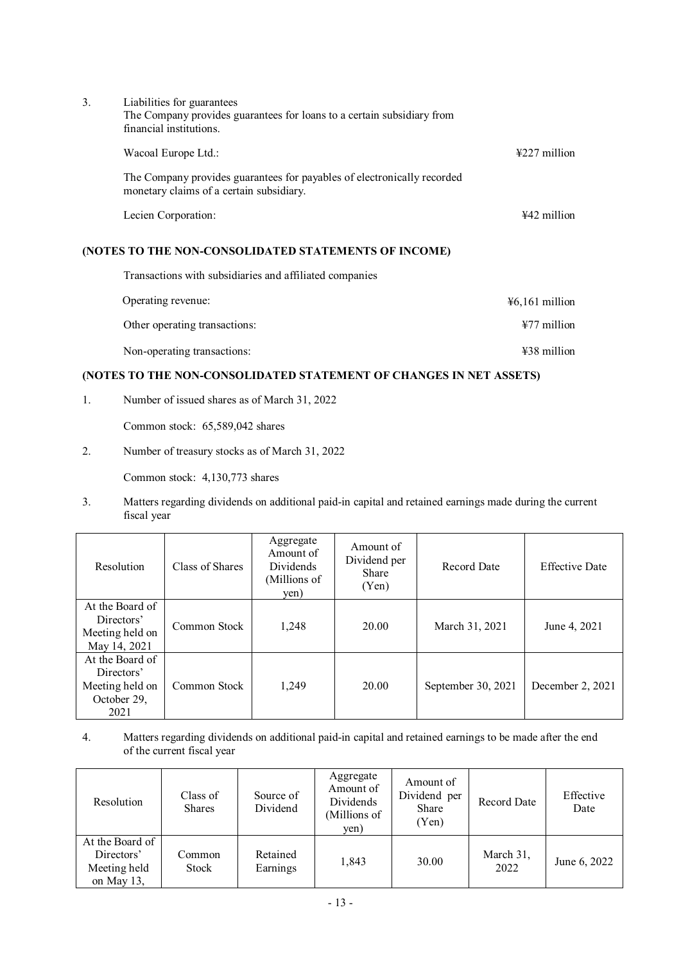| 3. | Liabilities for guarantees<br>The Company provides guarantees for loans to a certain subsidiary from<br>financial institutions. |                          |
|----|---------------------------------------------------------------------------------------------------------------------------------|--------------------------|
|    | Wacoal Europe Ltd.:                                                                                                             | $\frac{1227}{2}$ million |
|    | The Company provides guarantees for payables of electronically recorded<br>monetary claims of a certain subsidiary.             |                          |
|    | Lecien Corporation:                                                                                                             | $442$ million            |

# **(NOTES TO THE NON-CONSOLIDATED STATEMENTS OF INCOME)**

Transactions with subsidiaries and affiliated companies

| Operating revenue:            | $46,161$ million        |
|-------------------------------|-------------------------|
| Other operating transactions: | $\frac{127}{7}$ million |
| Non-operating transactions:   | $\text{\#38}$ million   |

# **(NOTES TO THE NON-CONSOLIDATED STATEMENT OF CHANGES IN NET ASSETS)**

1. Number of issued shares as of March 31, 2022

Common stock: 65,589,042 shares

2. Number of treasury stocks as of March 31, 2022

Common stock: 4,130,773 shares

3. Matters regarding dividends on additional paid-in capital and retained earnings made during the current fiscal year

| Resolution                                                              | Class of Shares | Aggregate<br>Amount of<br>Dividends<br>(Millions of<br>yen) | Amount of<br>Dividend per<br>Share<br>(Yen) | <b>Record Date</b> | <b>Effective Date</b> |
|-------------------------------------------------------------------------|-----------------|-------------------------------------------------------------|---------------------------------------------|--------------------|-----------------------|
| At the Board of<br>Directors'<br>Meeting held on<br>May 14, 2021        | Common Stock    | 1,248                                                       | 20.00                                       | March 31, 2021     | June 4, 2021          |
| At the Board of<br>Directors'<br>Meeting held on<br>October 29,<br>2021 | Common Stock    | 1,249                                                       | 20.00                                       | September 30, 2021 | December 2, 2021      |

4. Matters regarding dividends on additional paid-in capital and retained earnings to be made after the end of the current fiscal year

| Resolution                                                  | Class of<br><b>Shares</b> | Source of<br>Dividend | Aggregate<br>Amount of<br>Dividends<br>(Millions of<br>yen) | Amount of<br>Dividend per<br>Share<br>(Yen) | Record Date       | Effective<br>Date |
|-------------------------------------------------------------|---------------------------|-----------------------|-------------------------------------------------------------|---------------------------------------------|-------------------|-------------------|
| At the Board of<br>Directors'<br>Meeting held<br>on May 13, | Common<br><b>Stock</b>    | Retained<br>Earnings  | 1,843                                                       | 30.00                                       | March 31,<br>2022 | June 6, 2022      |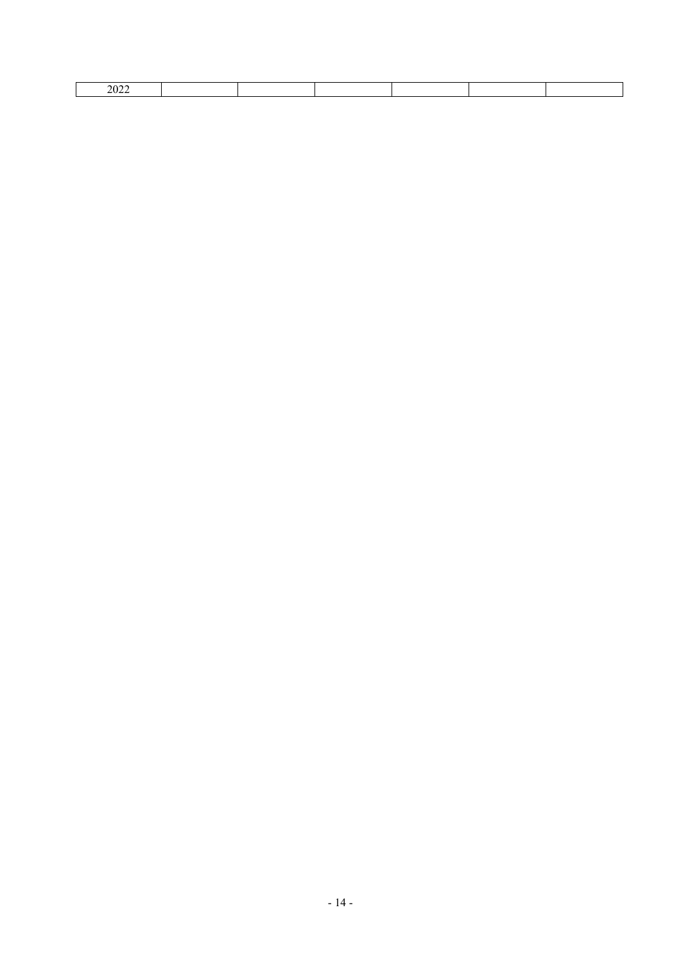| $\angle$ U $\angle$ |  |  |  |  |
|---------------------|--|--|--|--|
|                     |  |  |  |  |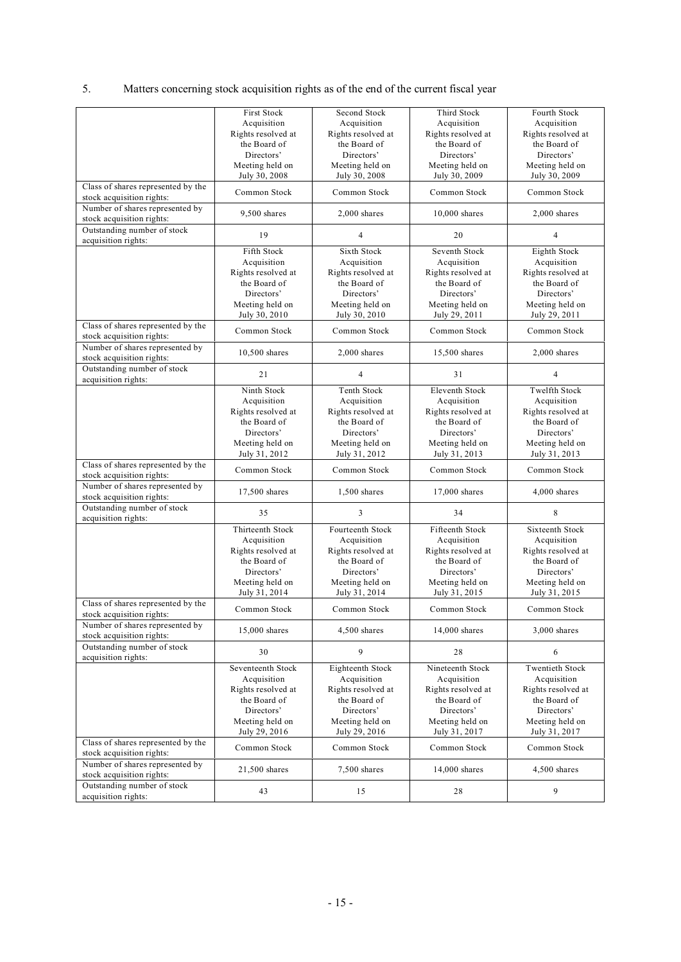# 5. Matters concerning stock acquisition rights as of the end of the current fiscal year

|                                    | First Stock        | Second Stock            | Third Stock           | Fourth Stock         |
|------------------------------------|--------------------|-------------------------|-----------------------|----------------------|
|                                    | Acquisition        | Acquisition             | Acquisition           | Acquisition          |
|                                    | Rights resolved at | Rights resolved at      | Rights resolved at    | Rights resolved at   |
|                                    |                    |                         |                       |                      |
|                                    | the Board of       | the Board of            | the Board of          | the Board of         |
|                                    | Directors'         | Directors'              | Directors'            | Directors'           |
|                                    | Meeting held on    | Meeting held on         | Meeting held on       | Meeting held on      |
|                                    | July 30, 2008      | July 30, 2008           | July 30, 2009         | July 30, 2009        |
| Class of shares represented by the |                    |                         |                       |                      |
| stock acquisition rights:          | Common Stock       | Common Stock            | Common Stock          | Common Stock         |
| Number of shares represented by    |                    |                         |                       |                      |
| stock acquisition rights:          | 9,500 shares       | $2,000$ shares          | $10,000$ shares       | $2,000$ shares       |
|                                    |                    |                         |                       |                      |
| Outstanding number of stock        | 19                 | 4                       | 20                    | 4                    |
| acquisition rights:                |                    |                         |                       |                      |
|                                    | Fifth Stock        | Sixth Stock             | Seventh Stock         | Eighth Stock         |
|                                    | Acquisition        | Acquisition             | Acquisition           | Acquisition          |
|                                    | Rights resolved at | Rights resolved at      | Rights resolved at    | Rights resolved at   |
|                                    | the Board of       | the Board of            | the Board of          | the Board of         |
|                                    | Directors'         | Directors'              | Directors'            | Directors'           |
|                                    |                    |                         |                       |                      |
|                                    | Meeting held on    | Meeting held on         | Meeting held on       | Meeting held on      |
|                                    | July 30, 2010      | July 30, 2010           | July 29, 2011         | July 29, 2011        |
| Class of shares represented by the | Common Stock       | Common Stock            | Common Stock          | Common Stock         |
| stock acquisition rights:          |                    |                         |                       |                      |
| Number of shares represented by    |                    |                         |                       |                      |
| stock acquisition rights:          | 10,500 shares      | $2,000$ shares          | 15,500 shares         | $2,000$ shares       |
| Outstanding number of stock        |                    |                         |                       |                      |
|                                    | 21                 | $\overline{\mathbf{4}}$ | 31                    | 4                    |
| acquisition rights:                |                    |                         |                       |                      |
|                                    | Ninth Stock        | <b>Tenth Stock</b>      | <b>Eleventh Stock</b> | <b>Twelfth Stock</b> |
|                                    | Acquisition        | Acquisition             | Acquisition           | Acquisition          |
|                                    | Rights resolved at | Rights resolved at      | Rights resolved at    | Rights resolved at   |
|                                    | the Board of       | the Board of            | the Board of          | the Board of         |
|                                    | Directors'         | Directors'              | Directors'            | Directors'           |
|                                    |                    |                         |                       |                      |
|                                    | Meeting held on    | Meeting held on         | Meeting held on       | Meeting held on      |
|                                    | July 31, 2012      | July 31, 2012           | July 31, 2013         | July 31, 2013        |
| Class of shares represented by the | Common Stock       | Common Stock            | Common Stock          | Common Stock         |
| stock acquisition rights:          |                    |                         |                       |                      |
| Number of shares represented by    |                    |                         |                       |                      |
| stock acquisition rights:          | 17,500 shares      | $1,500$ shares          | 17,000 shares         | 4,000 shares         |
| Outstanding number of stock        |                    |                         |                       |                      |
|                                    | 35                 | 3                       | 34                    | 8                    |
| acquisition rights:                |                    |                         |                       |                      |
|                                    | Thirteenth Stock   | Fourteenth Stock        | Fifteenth Stock       | Sixteenth Stock      |
|                                    | Acquisition        | Acquisition             | Acquisition           | Acquisition          |
|                                    | Rights resolved at | Rights resolved at      | Rights resolved at    | Rights resolved at   |
|                                    | the Board of       | the Board of            | the Board of          | the Board of         |
|                                    | Directors'         | Directors'              | Directors'            | Directors'           |
|                                    | Meeting held on    | Meeting held on         | Meeting held on       | Meeting held on      |
|                                    | July 31, 2014      | July 31, 2014           | July 31, 2015         |                      |
|                                    |                    |                         |                       | July 31, 2015        |
| Class of shares represented by the | Common Stock       | Common Stock            | Common Stock          | Common Stock         |
| stock acquisition rights:          |                    |                         |                       |                      |
| Number of shares represented by    | 15,000 shares      | 4,500 shares            | 14,000 shares         | $3,000$ shares       |
| stock acquisition rights:          |                    |                         |                       |                      |
| Outstanding number of stock        |                    |                         |                       |                      |
| acquisition rights:                | 30                 | 9                       | 28                    | 6                    |
|                                    | Seventeenth Stock  |                         | Nineteenth Stock      | Twentieth Stock      |
|                                    |                    | Eighteenth Stock        |                       |                      |
|                                    | Acquisition        | Acquisition             | Acquisition           | Acquisition          |
|                                    | Rights resolved at | Rights resolved at      | Rights resolved at    | Rights resolved at   |
|                                    | the Board of       | the Board of            | the Board of          | the Board of         |
|                                    | Directors'         | Directors'              | Directors'            | Directors'           |
|                                    | Meeting held on    | Meeting held on         | Meeting held on       | Meeting held on      |
|                                    | July 29, 2016      | July 29, 2016           | July 31, 2017         | July 31, 2017        |
| Class of shares represented by the |                    |                         |                       |                      |
| stock acquisition rights:          | Common Stock       | Common Stock            | Common Stock          | Common Stock         |
|                                    |                    |                         |                       |                      |
| Number of shares represented by    | 21,500 shares      | 7,500 shares            | $14,000$ shares       | 4,500 shares         |
| stock acquisition rights:          |                    |                         |                       |                      |
| Outstanding number of stock        | 43                 | 15                      | 28                    | 9                    |
| acquisition rights:                |                    |                         |                       |                      |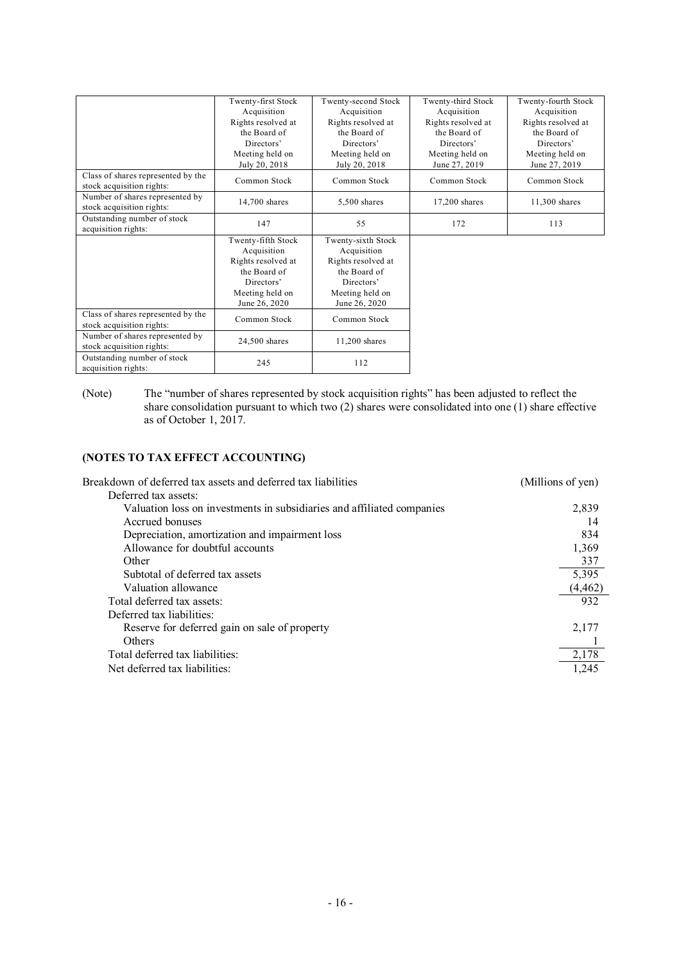|                                                                 | Twenty-first Stock<br>Acquisition<br>Rights resolved at<br>the Board of<br>Directors'                                     | Twenty-second Stock<br>Acquisition<br>Rights resolved at<br>the Board of<br>Directors'                                    | Twenty-third Stock<br>Acquisition<br>Rights resolved at<br>the Board of<br>Directors' | Twenty-fourth Stock<br>Acquisition<br>Rights resolved at<br>the Board of<br>Directors' |
|-----------------------------------------------------------------|---------------------------------------------------------------------------------------------------------------------------|---------------------------------------------------------------------------------------------------------------------------|---------------------------------------------------------------------------------------|----------------------------------------------------------------------------------------|
|                                                                 | Meeting held on<br>July 20, 2018                                                                                          | Meeting held on<br>July 20, 2018                                                                                          | Meeting held on<br>June 27, 2019                                                      | Meeting held on<br>June 27, 2019                                                       |
| Class of shares represented by the<br>stock acquisition rights: | Common Stock                                                                                                              | Common Stock                                                                                                              | Common Stock                                                                          | Common Stock                                                                           |
| Number of shares represented by<br>stock acquisition rights:    | $14.700$ shares                                                                                                           | $5,500$ shares                                                                                                            | $17,200$ shares                                                                       | 11,300 shares                                                                          |
| Outstanding number of stock<br>acquisition rights:              | 147                                                                                                                       | 55                                                                                                                        | 172                                                                                   | 113                                                                                    |
|                                                                 | Twenty-fifth Stock<br>Acquisition<br>Rights resolved at<br>the Board of<br>Directors'<br>Meeting held on<br>June 26, 2020 | Twenty-sixth Stock<br>Acquisition<br>Rights resolved at<br>the Board of<br>Directors'<br>Meeting held on<br>June 26, 2020 |                                                                                       |                                                                                        |
| Class of shares represented by the<br>stock acquisition rights: | Common Stock                                                                                                              | Common Stock                                                                                                              |                                                                                       |                                                                                        |
| Number of shares represented by<br>stock acquisition rights:    | 24,500 shares                                                                                                             | 11,200 shares                                                                                                             |                                                                                       |                                                                                        |
| Outstanding number of stock<br>acquisition rights:              | 245                                                                                                                       | 112                                                                                                                       |                                                                                       |                                                                                        |

<sup>(</sup>Note) The "number of shares represented by stock acquisition rights" has been adjusted to reflect the share consolidation pursuant to which two (2) shares were consolidated into one (1) share effective as of October 1, 2017.

# **(NOTES TO TAX EFFECT ACCOUNTING)**

| Breakdown of deferred tax assets and deferred tax liabilities          | (Millions of yen) |
|------------------------------------------------------------------------|-------------------|
| Deferred tax assets:                                                   |                   |
| Valuation loss on investments in subsidiaries and affiliated companies | 2,839             |
| Accrued bonuses                                                        | 14                |
| Depreciation, amortization and impairment loss                         | 834               |
| Allowance for doubtful accounts                                        | 1.369             |
| Other                                                                  | 337               |
| Subtotal of deferred tax assets                                        | 5,395             |
| Valuation allowance                                                    | (4, 462)          |
| Total deferred tax assets:                                             | 932               |
| Deferred tax liabilities:                                              |                   |
| Reserve for deferred gain on sale of property                          | 2,177             |
| Others                                                                 |                   |
| Total deferred tax liabilities:                                        | 2,178             |
| Net deferred tax liabilities:                                          | 1.245             |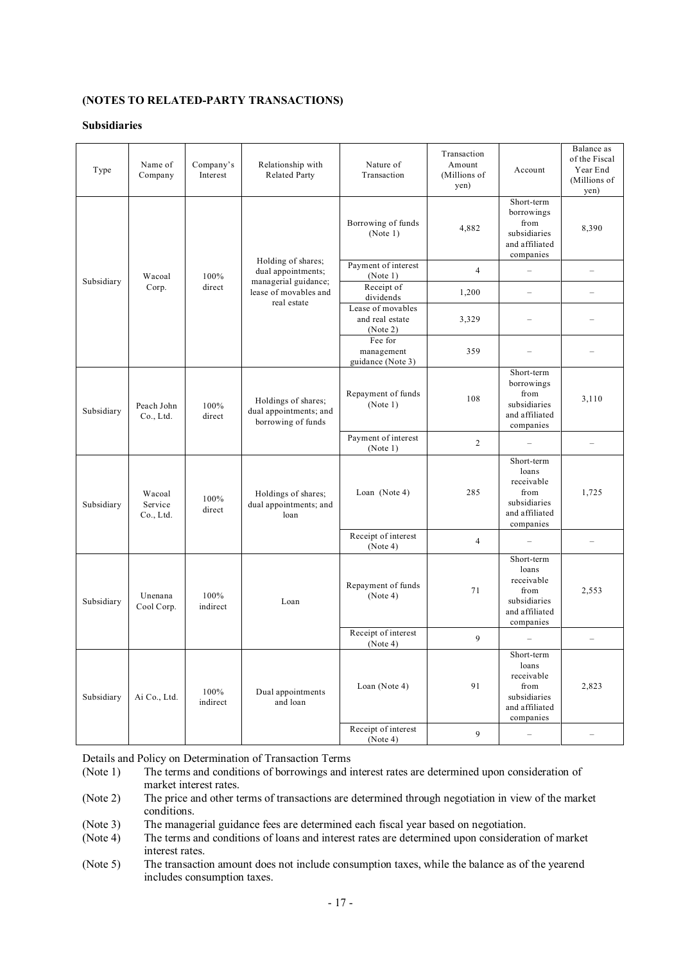# **(NOTES TO RELATED-PARTY TRANSACTIONS)**

#### **Subsidiaries**

| Type       | Name of<br>Company             | Company's<br>Interest | Relationship with<br><b>Related Party</b>                                                                | Nature of<br>Transaction                         | Transaction<br>Amount<br>(Millions of<br>yen) | Account                                                                                  | Balance as<br>of the Fiscal<br>Year End<br>(Millions of<br>yen) |
|------------|--------------------------------|-----------------------|----------------------------------------------------------------------------------------------------------|--------------------------------------------------|-----------------------------------------------|------------------------------------------------------------------------------------------|-----------------------------------------------------------------|
| Subsidiary | Wacoal<br>Corp.                | 100%<br>direct        | Holding of shares;<br>dual appointments;<br>managerial guidance;<br>lease of movables and<br>real estate | Borrowing of funds<br>(Note 1)                   | 4,882                                         | Short-term<br>borrowings<br>from<br>subsidiaries<br>and affiliated<br>companies          | 8,390                                                           |
|            |                                |                       |                                                                                                          | Payment of interest<br>(Note 1)                  | $\overline{4}$                                | ÷                                                                                        | $\overline{\phantom{0}}$                                        |
|            |                                |                       |                                                                                                          | Receipt of<br>dividends                          | 1,200                                         | $\overline{\phantom{0}}$                                                                 |                                                                 |
|            |                                |                       |                                                                                                          | Lease of movables<br>and real estate<br>(Note 2) | 3,329                                         |                                                                                          |                                                                 |
|            |                                |                       |                                                                                                          | Fee for<br>management<br>guidance (Note 3)       | 359                                           |                                                                                          |                                                                 |
| Subsidiary | Peach John<br>Co., Ltd.        | 100%<br>direct        | Holdings of shares;<br>dual appointments; and<br>borrowing of funds                                      | Repayment of funds<br>(Note 1)                   | 108                                           | Short-term<br>borrowings<br>from<br>subsidiaries<br>and affiliated<br>companies          | 3,110                                                           |
|            |                                |                       |                                                                                                          | Payment of interest<br>(Note 1)                  | $\overline{2}$                                |                                                                                          | $\overline{\phantom{0}}$                                        |
| Subsidiary | Wacoal<br>Service<br>Co., Ltd. | 100%<br>direct        | Holdings of shares;<br>dual appointments; and<br>loan                                                    | Loan (Note 4)                                    | 285                                           | Short-term<br>loans<br>receivable<br>from<br>subsidiaries<br>and affiliated<br>companies | 1,725                                                           |
|            |                                |                       |                                                                                                          | Receipt of interest<br>(Note 4)                  | $\overline{4}$                                |                                                                                          | $\overline{\phantom{0}}$                                        |
| Subsidiary | Unenana<br>Cool Corp.          | 100%<br>indirect      | Loan                                                                                                     | Repayment of funds<br>(Note 4)                   | 71                                            | Short-term<br>loans<br>receivable<br>from<br>subsidiaries<br>and affiliated<br>companies | 2,553                                                           |
|            |                                |                       |                                                                                                          | Receipt of interest<br>(Note 4)                  | 9                                             |                                                                                          |                                                                 |
| Subsidiary | Ai Co., Ltd.                   | 100%<br>indirect      | Dual appointments<br>and loan                                                                            | Loan (Note 4)                                    | 91                                            | Short-term<br>loans<br>receivable<br>from<br>subsidiaries<br>and affiliated<br>companies | 2,823                                                           |
|            |                                |                       |                                                                                                          | Receipt of interest<br>(Note 4)                  | 9                                             | $\overline{\phantom{a}}$                                                                 | $\overline{\phantom{0}}$                                        |

Details and Policy on Determination of Transaction Terms

(Note 1) The terms and conditions of borrowings and interest rates are determined upon consideration of market interest rates.

(Note 2) The price and other terms of transactions are determined through negotiation in view of the market conditions.

(Note 3) The managerial guidance fees are determined each fiscal year based on negotiation.

(Note 4) The terms and conditions of loans and interest rates are determined upon consideration of market interest rates.

(Note 5) The transaction amount does not include consumption taxes, while the balance as of the yearend includes consumption taxes.